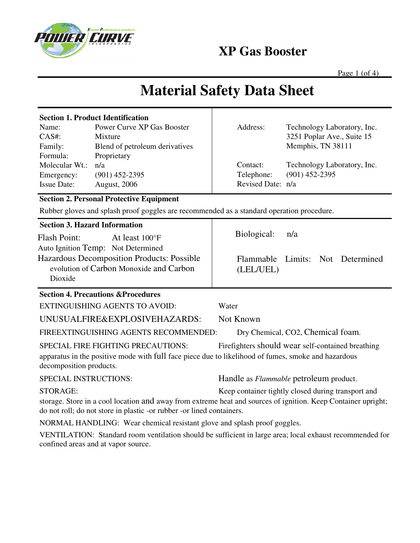

**XP Gas Booster** 

Address: Technology Laboratory, Inc.

Contact: Technology Laboratory, Inc.

Flammable Limits: Not Determined

Telephone: (901) 452-2395

Revised Date: n/a

Biological: n/a

(LEL/UEL)

3251 Poplar Ave., Suite 15

Memphis, TN 38111

Page  $1$  (of  $4$ )

# **Material Safety Data Sheet**

| <b>Section 1. Product Identification</b> |                            |  |  |  |
|------------------------------------------|----------------------------|--|--|--|
| Name:                                    | Power Curve XP Gas Booster |  |  |  |

| CAS#:              | Mixture                        |
|--------------------|--------------------------------|
| Family:            | Blend of petroleum derivatives |
| Formula:           | Proprietary                    |
| Molecular Wt.:     | n/a                            |
| Emergency:         | $(901)$ 452-2395               |
| <b>Issue Date:</b> | <b>August</b> , 2006           |

## **Section 2. Personal Protective Equipment**

Rubber gloves and splash proof goggles are recommended as a standard operation procedure.

### **Section 3. Hazard Information**

Flash Point: At least 100°F Auto Ignition Temp: Not Determined Hazardous Decomposition Products: Possible evolution of Carbon Monoxide and Carbon Dioxide

### **Section 4. Precautions &Procedures**

EXTINGUISHING AGENTS TO AVOID: Water

UNUSUALFIRE&EXPLOSIVEHAZARDS: Not Known

FIREEXTINGUISHING AGENTS RECOMMENDED: Dry Chemical, CO2, Chemical foam.

SPECIAL FIRE FIGHTING PRECAUTIONS: Firefighters should wear self-contained breathing apparatus in the positive mode with full face piece due to likelihood of fumes, smoke and hazardous decomposition products.

SPECIAL INSTRUCTIONS: Handle as *Flammable* petroleum product.

STORAGE: Keep container tightly closed during transport and

storage. Store in a cool location and away from extreme heat and sources of ignition. Keep Container upright; do not roll; do not store in plastic -or rubber -or lined containers.

NORMAL HANDLING: Wear chemical resistant glove and splash proof goggles.

VENTILATION: Standard room ventilation should be sufficient in large area; local exhaust recommended for confined areas and at vapor source.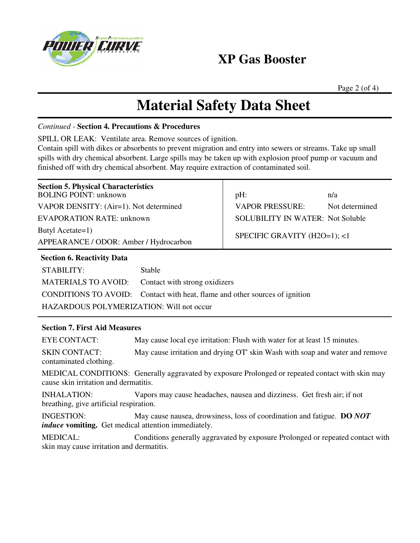

# **XP Gas Booster**

Page 2 (of 4)

# **Material Safety Data Sheet**

### *Continued -* **Section 4. Precautions & Procedures**

SPILL OR LEAK: Ventilate area. Remove sources of ignition.

Contain spill with dikes or absorbents to prevent migration and entry into sewers or streams. Take up small spills with dry chemical absorbent. Large spills may be taken up with explosion proof pump or vacuum and finished off with dry chemical absorbent. May require extraction of contaminated soil.

| <b>Section 5. Physical Characteristics</b><br><b>BOLING POINT: unknown</b> |                                                        | pH:                                     | n/a            |  |
|----------------------------------------------------------------------------|--------------------------------------------------------|-----------------------------------------|----------------|--|
| VAPOR DENSITY: (Air=1). Not determined                                     |                                                        | VAPOR PRESSURE:                         | Not determined |  |
| EVAPORATION RATE: unknown                                                  |                                                        | <b>SOLUBILITY IN WATER: Not Soluble</b> |                |  |
| Butyl Acetate=1)<br>APPEARANCE / ODOR: Amber / Hydrocarbon                 |                                                        | SPECIFIC GRAVITY (H2O=1); <1            |                |  |
| <b>Section 6. Reactivity Data</b>                                          |                                                        |                                         |                |  |
| STABILITY:                                                                 | <b>Stable</b>                                          |                                         |                |  |
| <b>MATERIALS TO AVOID:</b>                                                 | Contact with strong oxidizers                          |                                         |                |  |
| CONDITIONS TO AVOID:                                                       | Contact with heat, flame and other sources of ignition |                                         |                |  |
| <b>HAZARDOUS POLYMERIZATION: Will not occur</b>                            |                                                        |                                         |                |  |
|                                                                            |                                                        |                                         |                |  |

## **Section 7. First Aid Measures**

EYE CONTACT: May cause local eye irritation: Flush with water for at least 15 minutes.

SKIN CONTACT: May cause irritation and drying OT' skin Wash with soap and water and remove contaminated clothing.

MEDICAL CONDITIONS: Generally aggravated by exposure Prolonged or repeated contact with skin may cause skin irritation and dermatitis.

INHALATION: Vapors may cause headaches, nausea and dizziness. Get fresh air; if not breathing, give artificial respiration.

INGESTION: May cause nausea, drowsiness, loss of coordination and fatigue. **DO** *NOT induce* **vomiting.** Get medical attention immediately.

MEDICAL: Conditions generally aggravated by exposure Prolonged or repeated contact with skin may cause irritation and dermatitis.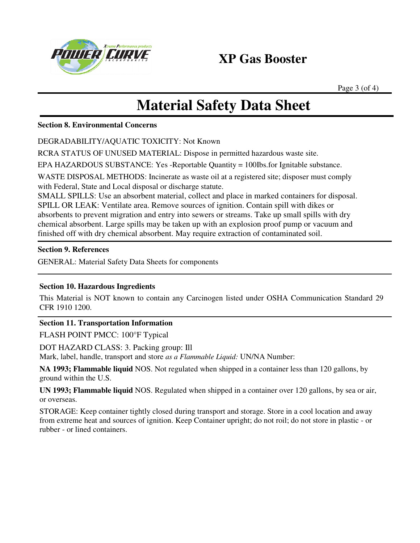

# **XP Gas Booster**

Page 3 (of 4)

# **Material Safety Data Sheet**

#### **Section 8. Environmental Concerns**

DEGRADABILITY/AQUATIC TOXICITY: Not Known

RCRA STATUS OF UNUSED MATERIAL: Dispose in permitted hazardous waste site.

EPA HAZARDOUS SUBSTANCE: Yes -Reportable Quantity = 100Ibs.for Ignitable substance.

WASTE DISPOSAL METHODS: Incinerate as waste oil at a registered site; disposer must comply with Federal, State and Local disposal or discharge statute.

SMALL SPILLS: Use an absorbent material, collect and place in marked containers for disposal. SPILL OR LEAK: Ventilate area. Remove sources of ignition. Contain spill with dikes or absorbents to prevent migration and entry into sewers or streams. Take up small spills with dry chemical absorbent. Large spills may be taken up with an explosion proof pump or vacuum and finished off with dry chemical absorbent. May require extraction of contaminated soil.

## **Section 9. References**

GENERAL: Material Safety Data Sheets for components

## **Section 10. Hazardous Ingredients**

This Material is NOT known to contain any Carcinogen listed under OSHA Communication Standard 29 CFR 1910 1200.

### **Section 11. Transportation Information**

FLASH POINT PMCC: 100°F Typical

DOT HAZARD CLASS: 3. Packing group: Ill

Mark, label, handle, transport and store *as a Flammable Liquid:* UN/NA Number:

**NA 1993; Flammable liquid** NOS. Not regulated when shipped in a container less than 120 gallons, by ground within the U.S.

**UN 1993; Flammable liquid** NOS. Regulated when shipped in a container over 120 gallons, by sea or air, or overseas.

STORAGE: Keep container tightly closed during transport and storage. Store in a cool location and away from extreme heat and sources of ignition. Keep Container upright; do not roil; do not store in plastic - or rubber - or lined containers.